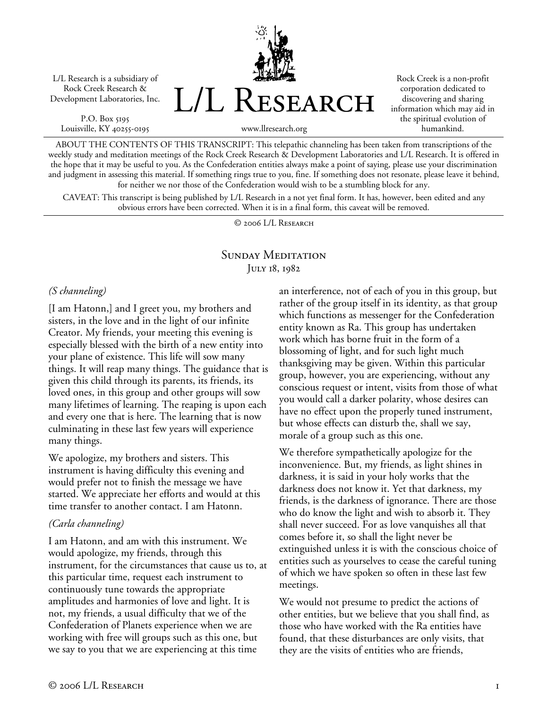L/L Research is a subsidiary of Rock Creek Research & Development Laboratories, Inc.

P.O. Box 5195 Louisville, KY 40255-0195 L/L Research

Rock Creek is a non-profit corporation dedicated to discovering and sharing information which may aid in the spiritual evolution of humankind.

ABOUT THE CONTENTS OF THIS TRANSCRIPT: This telepathic channeling has been taken from transcriptions of the weekly study and meditation meetings of the Rock Creek Research & Development Laboratories and L/L Research. It is offered in the hope that it may be useful to you. As the Confederation entities always make a point of saying, please use your discrimination and judgment in assessing this material. If something rings true to you, fine. If something does not resonate, please leave it behind, for neither we nor those of the Confederation would wish to be a stumbling block for any.

www.llresearch.org

CAVEAT: This transcript is being published by L/L Research in a not yet final form. It has, however, been edited and any obvious errors have been corrected. When it is in a final form, this caveat will be removed.

© 2006 L/L Research

## SUNDAY MEDITATION JULY 18, 1982

#### *(S channeling)*

[I am Hatonn,] and I greet you, my brothers and sisters, in the love and in the light of our infinite Creator. My friends, your meeting this evening is especially blessed with the birth of a new entity into your plane of existence. This life will sow many things. It will reap many things. The guidance that is given this child through its parents, its friends, its loved ones, in this group and other groups will sow many lifetimes of learning. The reaping is upon each and every one that is here. The learning that is now culminating in these last few years will experience many things.

We apologize, my brothers and sisters. This instrument is having difficulty this evening and would prefer not to finish the message we have started. We appreciate her efforts and would at this time transfer to another contact. I am Hatonn.

## *(Carla channeling)*

I am Hatonn, and am with this instrument. We would apologize, my friends, through this instrument, for the circumstances that cause us to, at this particular time, request each instrument to continuously tune towards the appropriate amplitudes and harmonies of love and light. It is not, my friends, a usual difficulty that we of the Confederation of Planets experience when we are working with free will groups such as this one, but we say to you that we are experiencing at this time

an interference, not of each of you in this group, but rather of the group itself in its identity, as that group which functions as messenger for the Confederation entity known as Ra. This group has undertaken work which has borne fruit in the form of a blossoming of light, and for such light much thanksgiving may be given. Within this particular group, however, you are experiencing, without any conscious request or intent, visits from those of what you would call a darker polarity, whose desires can have no effect upon the properly tuned instrument, but whose effects can disturb the, shall we say, morale of a group such as this one.

We therefore sympathetically apologize for the inconvenience. But, my friends, as light shines in darkness, it is said in your holy works that the darkness does not know it. Yet that darkness, my friends, is the darkness of ignorance. There are those who do know the light and wish to absorb it. They shall never succeed. For as love vanquishes all that comes before it, so shall the light never be extinguished unless it is with the conscious choice of entities such as yourselves to cease the careful tuning of which we have spoken so often in these last few meetings.

We would not presume to predict the actions of other entities, but we believe that you shall find, as those who have worked with the Ra entities have found, that these disturbances are only visits, that they are the visits of entities who are friends,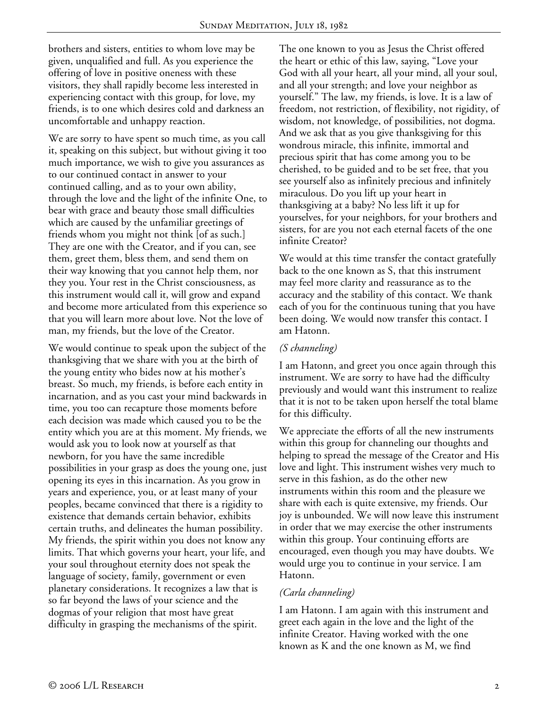brothers and sisters, entities to whom love may be given, unqualified and full. As you experience the offering of love in positive oneness with these visitors, they shall rapidly become less interested in experiencing contact with this group, for love, my friends, is to one which desires cold and darkness an uncomfortable and unhappy reaction.

We are sorry to have spent so much time, as you call it, speaking on this subject, but without giving it too much importance, we wish to give you assurances as to our continued contact in answer to your continued calling, and as to your own ability, through the love and the light of the infinite One, to bear with grace and beauty those small difficulties which are caused by the unfamiliar greetings of friends whom you might not think [of as such.] They are one with the Creator, and if you can, see them, greet them, bless them, and send them on their way knowing that you cannot help them, nor they you. Your rest in the Christ consciousness, as this instrument would call it, will grow and expand and become more articulated from this experience so that you will learn more about love. Not the love of man, my friends, but the love of the Creator.

We would continue to speak upon the subject of the thanksgiving that we share with you at the birth of the young entity who bides now at his mother's breast. So much, my friends, is before each entity in incarnation, and as you cast your mind backwards in time, you too can recapture those moments before each decision was made which caused you to be the entity which you are at this moment. My friends, we would ask you to look now at yourself as that newborn, for you have the same incredible possibilities in your grasp as does the young one, just opening its eyes in this incarnation. As you grow in years and experience, you, or at least many of your peoples, became convinced that there is a rigidity to existence that demands certain behavior, exhibits certain truths, and delineates the human possibility. My friends, the spirit within you does not know any limits. That which governs your heart, your life, and your soul throughout eternity does not speak the language of society, family, government or even planetary considerations. It recognizes a law that is so far beyond the laws of your science and the dogmas of your religion that most have great difficulty in grasping the mechanisms of the spirit.

The one known to you as Jesus the Christ offered the heart or ethic of this law, saying, "Love your God with all your heart, all your mind, all your soul, and all your strength; and love your neighbor as yourself." The law, my friends, is love. It is a law of freedom, not restriction, of flexibility, not rigidity, of wisdom, not knowledge, of possibilities, not dogma. And we ask that as you give thanksgiving for this wondrous miracle, this infinite, immortal and precious spirit that has come among you to be cherished, to be guided and to be set free, that you see yourself also as infinitely precious and infinitely miraculous. Do you lift up your heart in thanksgiving at a baby? No less lift it up for yourselves, for your neighbors, for your brothers and sisters, for are you not each eternal facets of the one infinite Creator?

We would at this time transfer the contact gratefully back to the one known as S, that this instrument may feel more clarity and reassurance as to the accuracy and the stability of this contact. We thank each of you for the continuous tuning that you have been doing. We would now transfer this contact. I am Hatonn.

## *(S channeling)*

I am Hatonn, and greet you once again through this instrument. We are sorry to have had the difficulty previously and would want this instrument to realize that it is not to be taken upon herself the total blame for this difficulty.

We appreciate the efforts of all the new instruments within this group for channeling our thoughts and helping to spread the message of the Creator and His love and light. This instrument wishes very much to serve in this fashion, as do the other new instruments within this room and the pleasure we share with each is quite extensive, my friends. Our joy is unbounded. We will now leave this instrument in order that we may exercise the other instruments within this group. Your continuing efforts are encouraged, even though you may have doubts. We would urge you to continue in your service. I am Hatonn.

## *(Carla channeling)*

I am Hatonn. I am again with this instrument and greet each again in the love and the light of the infinite Creator. Having worked with the one known as K and the one known as M, we find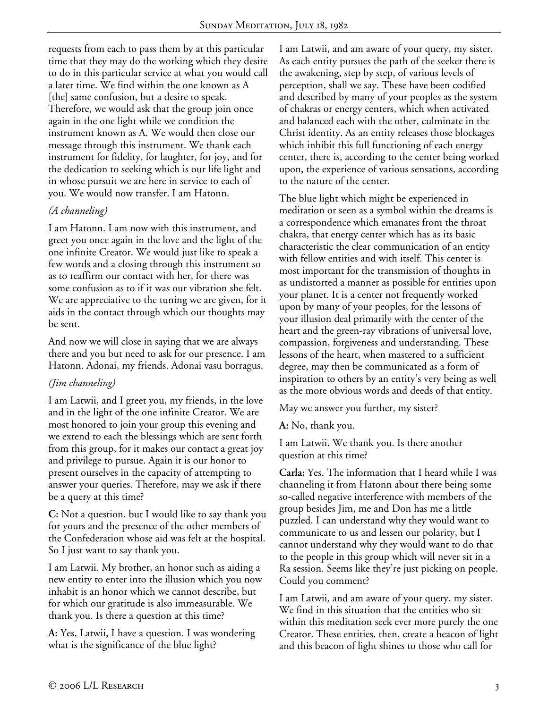requests from each to pass them by at this particular time that they may do the working which they desire to do in this particular service at what you would call a later time. We find within the one known as A [the] same confusion, but a desire to speak. Therefore, we would ask that the group join once again in the one light while we condition the instrument known as A. We would then close our message through this instrument. We thank each instrument for fidelity, for laughter, for joy, and for the dedication to seeking which is our life light and in whose pursuit we are here in service to each of you. We would now transfer. I am Hatonn.

## *(A channeling)*

I am Hatonn. I am now with this instrument, and greet you once again in the love and the light of the one infinite Creator. We would just like to speak a few words and a closing through this instrument so as to reaffirm our contact with her, for there was some confusion as to if it was our vibration she felt. We are appreciative to the tuning we are given, for it aids in the contact through which our thoughts may be sent.

And now we will close in saying that we are always there and you but need to ask for our presence. I am Hatonn. Adonai, my friends. Adonai vasu borragus.

# *(Jim channeling)*

I am Latwii, and I greet you, my friends, in the love and in the light of the one infinite Creator. We are most honored to join your group this evening and we extend to each the blessings which are sent forth from this group, for it makes our contact a great joy and privilege to pursue. Again it is our honor to present ourselves in the capacity of attempting to answer your queries. Therefore, may we ask if there be a query at this time?

**C:** Not a question, but I would like to say thank you for yours and the presence of the other members of the Confederation whose aid was felt at the hospital. So I just want to say thank you.

I am Latwii. My brother, an honor such as aiding a new entity to enter into the illusion which you now inhabit is an honor which we cannot describe, but for which our gratitude is also immeasurable. We thank you. Is there a question at this time?

**A:** Yes, Latwii, I have a question. I was wondering what is the significance of the blue light?

I am Latwii, and am aware of your query, my sister. As each entity pursues the path of the seeker there is the awakening, step by step, of various levels of perception, shall we say. These have been codified and described by many of your peoples as the system of chakras or energy centers, which when activated and balanced each with the other, culminate in the Christ identity. As an entity releases those blockages which inhibit this full functioning of each energy center, there is, according to the center being worked upon, the experience of various sensations, according to the nature of the center.

The blue light which might be experienced in meditation or seen as a symbol within the dreams is a correspondence which emanates from the throat chakra, that energy center which has as its basic characteristic the clear communication of an entity with fellow entities and with itself. This center is most important for the transmission of thoughts in as undistorted a manner as possible for entities upon your planet. It is a center not frequently worked upon by many of your peoples, for the lessons of your illusion deal primarily with the center of the heart and the green-ray vibrations of universal love, compassion, forgiveness and understanding. These lessons of the heart, when mastered to a sufficient degree, may then be communicated as a form of inspiration to others by an entity's very being as well as the more obvious words and deeds of that entity.

May we answer you further, my sister?

**A:** No, thank you.

I am Latwii. We thank you. Is there another question at this time?

**Carla:** Yes. The information that I heard while I was channeling it from Hatonn about there being some so-called negative interference with members of the group besides Jim, me and Don has me a little puzzled. I can understand why they would want to communicate to us and lessen our polarity, but I cannot understand why they would want to do that to the people in this group which will never sit in a Ra session. Seems like they're just picking on people. Could you comment?

I am Latwii, and am aware of your query, my sister. We find in this situation that the entities who sit within this meditation seek ever more purely the one Creator. These entities, then, create a beacon of light and this beacon of light shines to those who call for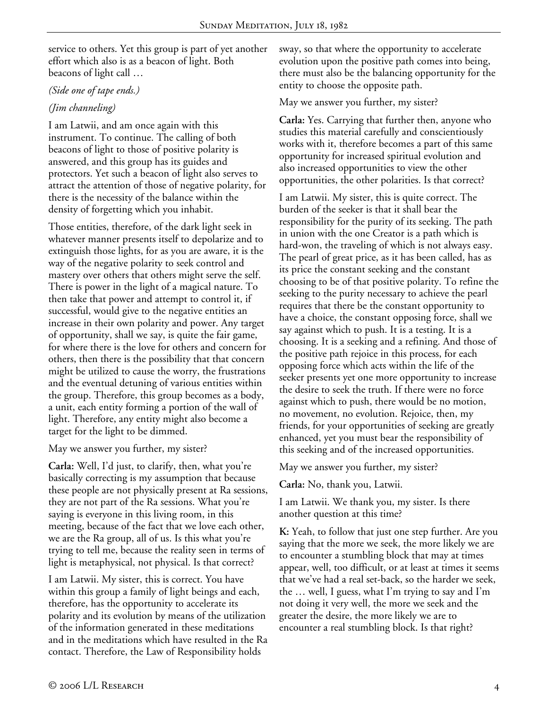service to others. Yet this group is part of yet another effort which also is as a beacon of light. Both beacons of light call …

#### *(Side one of tape ends.)*

## *(Jim channeling)*

I am Latwii, and am once again with this instrument. To continue. The calling of both beacons of light to those of positive polarity is answered, and this group has its guides and protectors. Yet such a beacon of light also serves to attract the attention of those of negative polarity, for there is the necessity of the balance within the density of forgetting which you inhabit.

Those entities, therefore, of the dark light seek in whatever manner presents itself to depolarize and to extinguish those lights, for as you are aware, it is the way of the negative polarity to seek control and mastery over others that others might serve the self. There is power in the light of a magical nature. To then take that power and attempt to control it, if successful, would give to the negative entities an increase in their own polarity and power. Any target of opportunity, shall we say, is quite the fair game, for where there is the love for others and concern for others, then there is the possibility that that concern might be utilized to cause the worry, the frustrations and the eventual detuning of various entities within the group. Therefore, this group becomes as a body, a unit, each entity forming a portion of the wall of light. Therefore, any entity might also become a target for the light to be dimmed.

May we answer you further, my sister?

**Carla:** Well, I'd just, to clarify, then, what you're basically correcting is my assumption that because these people are not physically present at Ra sessions, they are not part of the Ra sessions. What you're saying is everyone in this living room, in this meeting, because of the fact that we love each other, we are the Ra group, all of us. Is this what you're trying to tell me, because the reality seen in terms of light is metaphysical, not physical. Is that correct?

I am Latwii. My sister, this is correct. You have within this group a family of light beings and each, therefore, has the opportunity to accelerate its polarity and its evolution by means of the utilization of the information generated in these meditations and in the meditations which have resulted in the Ra contact. Therefore, the Law of Responsibility holds

sway, so that where the opportunity to accelerate evolution upon the positive path comes into being, there must also be the balancing opportunity for the entity to choose the opposite path.

May we answer you further, my sister?

**Carla:** Yes. Carrying that further then, anyone who studies this material carefully and conscientiously works with it, therefore becomes a part of this same opportunity for increased spiritual evolution and also increased opportunities to view the other opportunities, the other polarities. Is that correct?

I am Latwii. My sister, this is quite correct. The burden of the seeker is that it shall bear the responsibility for the purity of its seeking. The path in union with the one Creator is a path which is hard-won, the traveling of which is not always easy. The pearl of great price, as it has been called, has as its price the constant seeking and the constant choosing to be of that positive polarity. To refine the seeking to the purity necessary to achieve the pearl requires that there be the constant opportunity to have a choice, the constant opposing force, shall we say against which to push. It is a testing. It is a choosing. It is a seeking and a refining. And those of the positive path rejoice in this process, for each opposing force which acts within the life of the seeker presents yet one more opportunity to increase the desire to seek the truth. If there were no force against which to push, there would be no motion, no movement, no evolution. Rejoice, then, my friends, for your opportunities of seeking are greatly enhanced, yet you must bear the responsibility of this seeking and of the increased opportunities.

May we answer you further, my sister?

**Carla:** No, thank you, Latwii.

I am Latwii. We thank you, my sister. Is there another question at this time?

**K:** Yeah, to follow that just one step further. Are you saying that the more we seek, the more likely we are to encounter a stumbling block that may at times appear, well, too difficult, or at least at times it seems that we've had a real set-back, so the harder we seek, the … well, I guess, what I'm trying to say and I'm not doing it very well, the more we seek and the greater the desire, the more likely we are to encounter a real stumbling block. Is that right?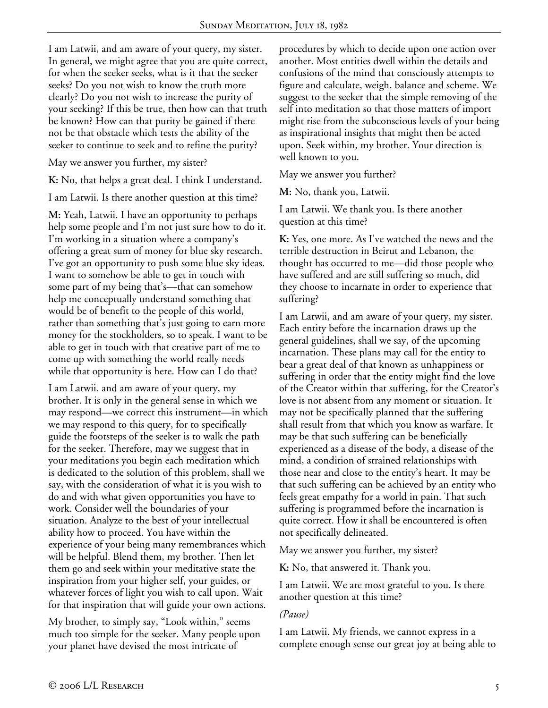I am Latwii, and am aware of your query, my sister. In general, we might agree that you are quite correct, for when the seeker seeks, what is it that the seeker seeks? Do you not wish to know the truth more clearly? Do you not wish to increase the purity of your seeking? If this be true, then how can that truth be known? How can that purity be gained if there not be that obstacle which tests the ability of the seeker to continue to seek and to refine the purity?

May we answer you further, my sister?

**K:** No, that helps a great deal. I think I understand.

I am Latwii. Is there another question at this time?

**M:** Yeah, Latwii. I have an opportunity to perhaps help some people and I'm not just sure how to do it. I'm working in a situation where a company's offering a great sum of money for blue sky research. I've got an opportunity to push some blue sky ideas. I want to somehow be able to get in touch with some part of my being that's—that can somehow help me conceptually understand something that would be of benefit to the people of this world, rather than something that's just going to earn more money for the stockholders, so to speak. I want to be able to get in touch with that creative part of me to come up with something the world really needs while that opportunity is here. How can I do that?

I am Latwii, and am aware of your query, my brother. It is only in the general sense in which we may respond—we correct this instrument—in which we may respond to this query, for to specifically guide the footsteps of the seeker is to walk the path for the seeker. Therefore, may we suggest that in your meditations you begin each meditation which is dedicated to the solution of this problem, shall we say, with the consideration of what it is you wish to do and with what given opportunities you have to work. Consider well the boundaries of your situation. Analyze to the best of your intellectual ability how to proceed. You have within the experience of your being many remembrances which will be helpful. Blend them, my brother. Then let them go and seek within your meditative state the inspiration from your higher self, your guides, or whatever forces of light you wish to call upon. Wait for that inspiration that will guide your own actions.

My brother, to simply say, "Look within," seems much too simple for the seeker. Many people upon your planet have devised the most intricate of

procedures by which to decide upon one action over another. Most entities dwell within the details and confusions of the mind that consciously attempts to figure and calculate, weigh, balance and scheme. We suggest to the seeker that the simple removing of the self into meditation so that those matters of import might rise from the subconscious levels of your being as inspirational insights that might then be acted upon. Seek within, my brother. Your direction is well known to you.

May we answer you further?

**M:** No, thank you, Latwii.

I am Latwii. We thank you. Is there another question at this time?

**K:** Yes, one more. As I've watched the news and the terrible destruction in Beirut and Lebanon, the thought has occurred to me—did those people who have suffered and are still suffering so much, did they choose to incarnate in order to experience that suffering?

I am Latwii, and am aware of your query, my sister. Each entity before the incarnation draws up the general guidelines, shall we say, of the upcoming incarnation. These plans may call for the entity to bear a great deal of that known as unhappiness or suffering in order that the entity might find the love of the Creator within that suffering, for the Creator's love is not absent from any moment or situation. It may not be specifically planned that the suffering shall result from that which you know as warfare. It may be that such suffering can be beneficially experienced as a disease of the body, a disease of the mind, a condition of strained relationships with those near and close to the entity's heart. It may be that such suffering can be achieved by an entity who feels great empathy for a world in pain. That such suffering is programmed before the incarnation is quite correct. How it shall be encountered is often not specifically delineated.

May we answer you further, my sister?

**K:** No, that answered it. Thank you.

I am Latwii. We are most grateful to you. Is there another question at this time?

## *(Pause)*

I am Latwii. My friends, we cannot express in a complete enough sense our great joy at being able to